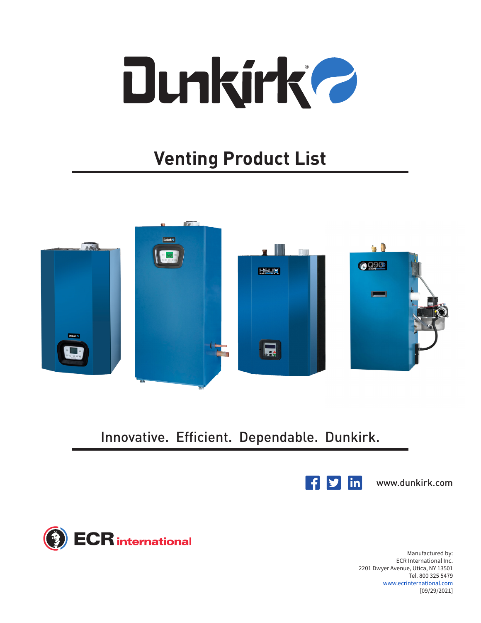

## **Venting Product List**



Innovative. Efficient. Dependable. Dunkirk.



www.dunkirk.com

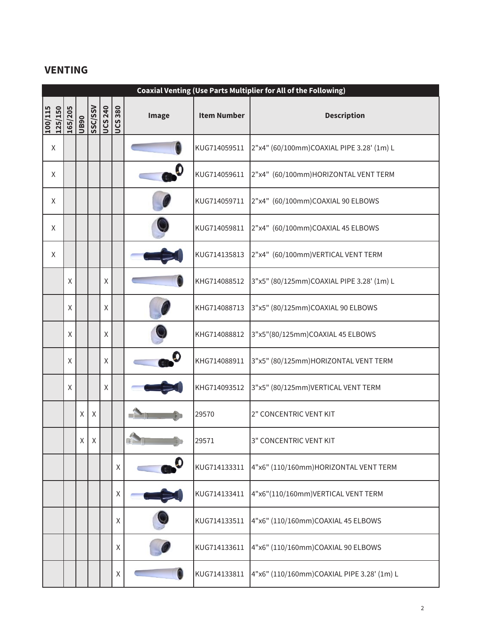## **VENTING**

|                    | <b>Coaxial Venting (Use Parts Multiplier for All of the Following)</b> |             |         |                |                |                        |                    |                                            |
|--------------------|------------------------------------------------------------------------|-------------|---------|----------------|----------------|------------------------|--------------------|--------------------------------------------|
| 125/150<br>100/115 | 165/205                                                                | <b>UB90</b> | SSC/SSV | <b>UCS 240</b> | <b>UCS 380</b> | Image                  | <b>Item Number</b> | <b>Description</b>                         |
| Χ                  |                                                                        |             |         |                |                |                        | KUG714059511       | 2"x4" (60/100mm)COAXIAL PIPE 3.28' (1m) L  |
| X                  |                                                                        |             |         |                |                |                        | KUG714059611       | 2"x4" (60/100mm)HORIZONTAL VENT TERM       |
| X                  |                                                                        |             |         |                |                |                        | KUG714059711       | 2"x4" (60/100mm)COAXIAL 90 ELBOWS          |
| X                  |                                                                        |             |         |                |                |                        | KUG714059811       | 2"x4" (60/100mm)COAXIAL 45 ELBOWS          |
| X                  |                                                                        |             |         |                |                |                        | KUG714135813       | 2"x4" (60/100mm) VERTICAL VENT TERM        |
|                    | X                                                                      |             |         | X              |                |                        | KHG714088512       | 3"x5" (80/125mm)COAXIAL PIPE 3.28' (1m) L  |
|                    | Χ                                                                      |             |         | X              |                |                        | KHG714088713       | 3"x5" (80/125mm)COAXIAL 90 ELBOWS          |
|                    | $\mathsf X$                                                            |             |         | X              |                |                        | KHG714088812       | 3"x5"(80/125mm)COAXIAL 45 ELBOWS           |
|                    | Χ                                                                      |             |         | X              |                |                        | KHG714088911       | 3"x5" (80/125mm)HORIZONTAL VENT TERM       |
|                    | $\mathsf X$                                                            |             |         | X              |                |                        | KHG714093512       | 3"x5" (80/125mm) VERTICAL VENT TERM        |
|                    |                                                                        | X           | X       |                |                |                        | 29570              | 2" CONCENTRIC VENT KIT                     |
|                    |                                                                        | $\times$    | X       |                |                |                        | 29571              | 3" CONCENTRIC VENT KIT                     |
|                    |                                                                        |             |         |                | $\mathsf X$    | $\bullet$ <sup>O</sup> | KUG714133311       | 4"x6" (110/160mm) HORIZONTAL VENT TERM     |
|                    |                                                                        |             |         |                | $\mathsf X$    |                        | KUG714133411       | 4"x6"(110/160mm)VERTICAL VENT TERM         |
|                    |                                                                        |             |         |                | Χ              |                        | KUG714133511       | 4"x6" (110/160mm)COAXIAL 45 ELBOWS         |
|                    |                                                                        |             |         |                | Χ              |                        | KUG714133611       | 4"x6" (110/160mm)COAXIAL 90 ELBOWS         |
|                    |                                                                        |             |         |                | $\mathsf X$    |                        | KUG714133811       | 4"x6" (110/160mm)COAXIAL PIPE 3.28' (1m) L |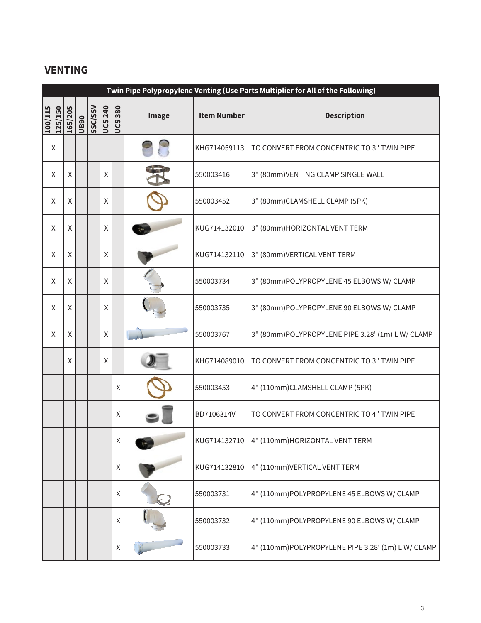## **VENTING**

|                    | Twin Pipe Polypropylene Venting (Use Parts Multiplier for All of the Following) |      |         |                |                |       |                    |                                                   |
|--------------------|---------------------------------------------------------------------------------|------|---------|----------------|----------------|-------|--------------------|---------------------------------------------------|
| 125/150<br>100/115 | 165/205                                                                         | UB90 | SSC/SSV | <b>UCS 240</b> | <b>UCS 380</b> | Image | <b>Item Number</b> | <b>Description</b>                                |
| X                  |                                                                                 |      |         |                |                |       | KHG714059113       | TO CONVERT FROM CONCENTRIC TO 3" TWIN PIPE        |
| X                  | Χ                                                                               |      |         | X              |                |       | 550003416          | 3" (80mm) VENTING CLAMP SINGLE WALL               |
| X                  | Χ                                                                               |      |         | X              |                |       | 550003452          | 3" (80mm)CLAMSHELL CLAMP (5PK)                    |
| X                  | Χ                                                                               |      |         | X              |                |       | KUG714132010       | 3" (80mm)HORIZONTAL VENT TERM                     |
| X                  | Χ                                                                               |      |         | X              |                |       | KUG714132110       | 3" (80mm) VERTICAL VENT TERM                      |
| X                  | Χ                                                                               |      |         | X              |                |       | 550003734          | 3" (80mm)POLYPROPYLENE 45 ELBOWS W/ CLAMP         |
| X                  | Χ                                                                               |      |         | X              |                |       | 550003735          | 3" (80mm)POLYPROPYLENE 90 ELBOWS W/ CLAMP         |
| X                  | Χ                                                                               |      |         | X              |                |       | 550003767          | 3" (80mm)POLYPROPYLENE PIPE 3.28' (1m) LW/ CLAMP  |
|                    | Χ                                                                               |      |         | X              |                |       | KHG714089010       | TO CONVERT FROM CONCENTRIC TO 3" TWIN PIPE        |
|                    |                                                                                 |      |         |                | $\mathsf X$    |       | 550003453          | 4" (110mm)CLAMSHELL CLAMP (5PK)                   |
|                    |                                                                                 |      |         |                | Χ              |       | BD7106314V         | TO CONVERT FROM CONCENTRIC TO 4" TWIN PIPE        |
|                    |                                                                                 |      |         |                | Χ              |       | KUG714132710       | 4" (110mm) HORIZONTAL VENT TERM                   |
|                    |                                                                                 |      |         |                | Χ              |       | KUG714132810       | 4" (110mm) VERTICAL VENT TERM                     |
|                    |                                                                                 |      |         |                | Χ              |       | 550003731          | 4" (110mm)POLYPROPYLENE 45 ELBOWS W/ CLAMP        |
|                    |                                                                                 |      |         |                | Χ              |       | 550003732          | 4" (110mm)POLYPROPYLENE 90 ELBOWS W/ CLAMP        |
|                    |                                                                                 |      |         |                | Χ              |       | 550003733          | 4" (110mm)POLYPROPYLENE PIPE 3.28' (1m) LW/ CLAMP |